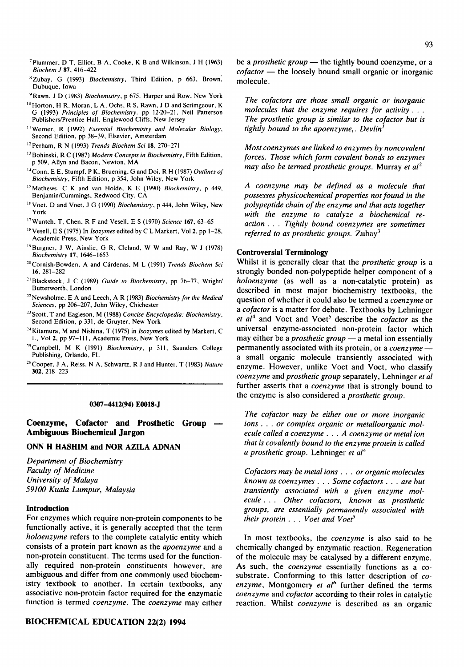- 7plummer, D T, Elliot, B A, Cooke, K B and Wilkinson, J H (1963) *Biochem J* 87,416-422
- 8Zubay, G (1993) *Biochemistry,* Third Edition, p 663, Brown', Dubuque, Iowa
- '~Rawn, J D (1983) *Biochemistry,* p 675. Harper and Row, New York
- <sup>10</sup> Horton, H R, Moran, L A, Ochs, R S, Rawn, J D and Scrimgeour, K G (1993) *Principles of Biochemistry.* pp 12.20-21, Neil Patterson Publishers/Prentice Hall, Englewood Cliffs, New Jersey
- <sup>11</sup> Werner, R (1992) *Essential Biochemistry and Molecular Biology*, Second Edition, pp 38-39, Elsevier, Amsterdam
- ~2Perham, R N (1993) *Trends Biochem Sci* 18, 270-271
- <sup>13</sup> Bohinski, R C (1987) *Modern Concepts in Biochemistry*, Fifth Edition, p 509, Allyn and Bacon, Newton, MA
- ~4Conn, E E, Stumpf, P K, Bruening, G and Doi, R H (1987) *Outlines of Biochemistry,* Fifth Edition, p 354, John Wiley, New York
- <sup>15</sup> Mathews, C K and van Holde, K E (1990) *Biochemistry*, p 449, Benjamin/Cummings, Redwood City, CA
- <sup>16</sup> Voet, D and Voet, J G (1990) *Biochemistry*, p 444, John Wiley, New York
- ~7Wuntch, T, Chen, R F and Vesell, E S (1970) *Science* 167, 63-65
- <sup>18</sup> Vesell, E S (1975) In *Isozymes* edited by C L Markert, Vol 2, pp 1-28, Academic Press, New York
- 1"Burgher, J W, Ainslie, G R, Cleland, W W and Ray, W J (1978) *Biochemistry* 17, 1646-1653
- <sup>20</sup> Cornish-Bowden, A and Cárdenas, M L (1991) *Trends Biochem Sci* 16, 281-282
- <sup>21</sup> Blackstock, J C (1989) *Guide to Biochemistry*, pp 76-77, Wright/ Butterworth, London
- <sup>22</sup> Newsholme, E A and Leech, A R (1983) *Biochemistry for the Medical Sciences,* pp 206-207, John Wiley, Chichester
- 23Scott, T and Eagleson, M (1988) *Concise Encyclopedia: Biochemistry,*  Second Edition, p 331, de Gruyter, New York
- 24Kitamura, M and Nishina, T (1975) in *lsozymes* edited by Markert, C L, Vol 2, pp 97-111, Academic Press, New York
- 25Campbell, M K (1991) *Biochemistry,* p 311, Saunders College Publishing, Orlando, FL
- 2~'Cooper, J A, Reiss, N A, Schwartz, R J and Hunter, T (1983) *Nature*  302, 218-223

#### **0307-4412(94) E0018-J**

**Coenzyme, Cofactor and Prosthetic Group Ambiguous Biochemical Jargon** 

# **ONN H HASHIM and NOR AZILA ADNAN**

*Department of Biochemistry Faculty of Medicine University of Malaya 59100 Kuala Lumpur, Malaysia* 

#### **Introduction**

For enzymes which require non-protein components to be functionally active, it is generally accepted that the term *holoenzyme* refers to the complete catalytic entity which consists of a protein part known as the *apoenzyme* and a non-protein constituent. The terms used for the functionally required non-protein constituents however, are ambiguous and differ from one commonly used biochemistry textbook to another. In certain textbooks, any associative non-protein factor required for the enzymatic function is termed *coenzyme. The coenzyme* may either

be a *prosthetic group* — the tightly bound coenzyme, or a *cofactor* — the loosely bound small organic or inorganic molecule.

*The cofactors are those small organic or inorganic molecules that the enzyme requires for activity... The prosthetic group is similar to the cofactor but is tightly bound to the apoenzyme,. Devlin I* 

*Most coenzymes are linked to enzymes by noncovalent forces. Those which form covalent bonds to enzymes may also be termed prosthetic groups.* Murray *et al*<sup>2</sup>

*A coenzyme may be defined as a molecule that possesses physicochemical properties not found in the polypeptide chain of the enzyme and that acts together with the enzyme to catalyze a biochemical reaction... Tightly bound coenzymes are sometimes referred to as prosthetic groups.* Zubay<sup>3</sup>

### **Controversial Terminology**

Whilst it is generally clear that the *prosthetic group* is a strongly bonded non-polypeptide helper component of a *holoenzyme* (as well as a non-catalytic protein) as described in most major biochemistry textbooks, the question of whether it could also be termed a *coenzyme* or *a cofactor* is a matter for debate. Textbooks by Lehninger et al<sup>4</sup> and Voet and Voet<sup>5</sup> describe the *cofactor* as the universal enzyme-associated non-protein factor which may either be a *prosthetic group* - a metal ion essentially permanently associated with its protein, or a *coenzyme -*  a small organic molecule transiently associated with enzyme. However, unlike Voet and Voet, who classify *coenzyme* and *prosthetic group* separately, Lehninger *et al*  further asserts that a *coenzyme* that is strongly bound to the enzyme is also considered a *prosthetic group.* 

*The cofactor may be either one or more inorganic ions.., or complex organic or metalloorganic molecule called a coenzyme . . . A coenzyme or metal ion that is covalently bound to the enzyme protein is called a prosthetic group.* Lehninger *et al 4* 

*Cofactors may be metal ions.., or organic molecules known as coenzymes . . . Some cofactors . . . are but transiently associated with a given enzyme molecule... Other cofactors, known as prosthetic groups, are essentially permanently associated with their protein... Voet and Voet*<sup>5</sup>

In most textbooks, the *coenzyme* is also said to be chemically changed by enzymatic reaction. Regeneration of the molecule may be catalysed by a different enzyme. As such, the *coenzyme* essentially functions as a cosubstrate. Conforming to this latter description of *coenzyme,* Montgomery *et al*<sup>6</sup> further defined the terms *coenzyme* and *cofactor* according to their roles in catalytic reaction. Whilst *coenzyme* is described as an organic